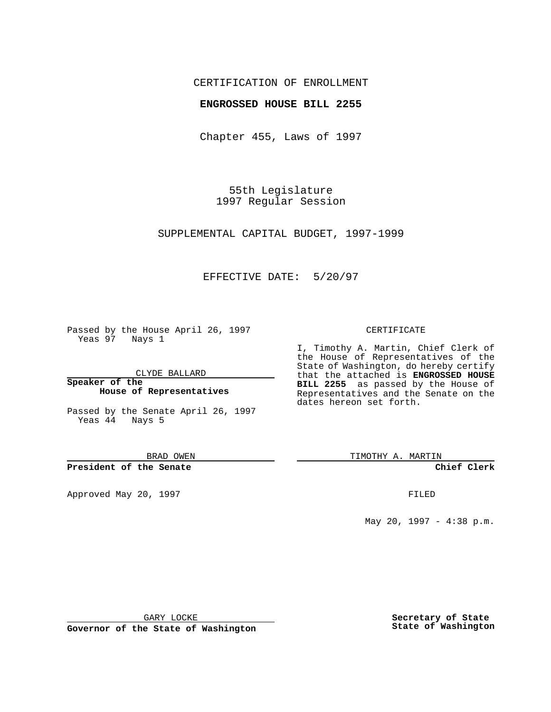## CERTIFICATION OF ENROLLMENT

## **ENGROSSED HOUSE BILL 2255**

Chapter 455, Laws of 1997

55th Legislature 1997 Regular Session

SUPPLEMENTAL CAPITAL BUDGET, 1997-1999

## EFFECTIVE DATE: 5/20/97

Passed by the House April 26, 1997 Yeas 97 Nays 1

CLYDE BALLARD

**Speaker of the House of Representatives**

Passed by the Senate April 26, 1997 Yeas 44 Nays 5

BRAD OWEN

**President of the Senate**

Approved May 20, 1997 **FILED** 

#### CERTIFICATE

I, Timothy A. Martin, Chief Clerk of the House of Representatives of the State of Washington, do hereby certify that the attached is **ENGROSSED HOUSE BILL 2255** as passed by the House of Representatives and the Senate on the dates hereon set forth.

TIMOTHY A. MARTIN

**Chief Clerk**

May 20, 1997 - 4:38 p.m.

GARY LOCKE

**Governor of the State of Washington**

**Secretary of State State of Washington**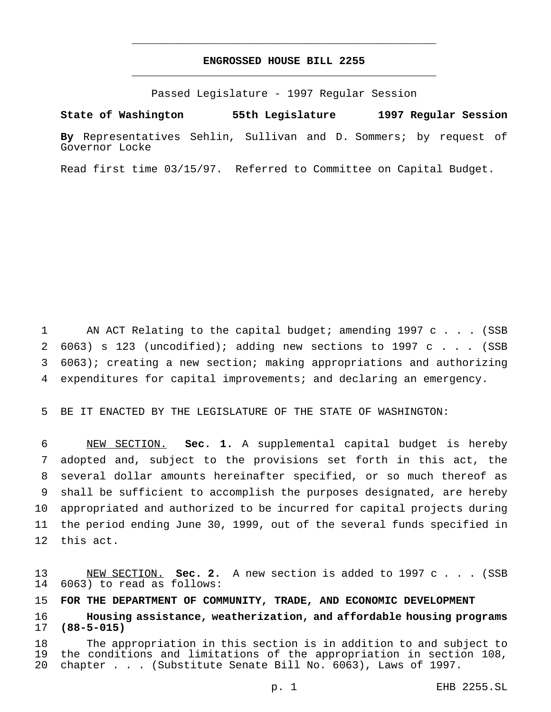## **ENGROSSED HOUSE BILL 2255** \_\_\_\_\_\_\_\_\_\_\_\_\_\_\_\_\_\_\_\_\_\_\_\_\_\_\_\_\_\_\_\_\_\_\_\_\_\_\_\_\_\_\_\_\_\_\_

\_\_\_\_\_\_\_\_\_\_\_\_\_\_\_\_\_\_\_\_\_\_\_\_\_\_\_\_\_\_\_\_\_\_\_\_\_\_\_\_\_\_\_\_\_\_\_

Passed Legislature - 1997 Regular Session

**State of Washington 55th Legislature 1997 Regular Session**

**By** Representatives Sehlin, Sullivan and D. Sommers; by request of Governor Locke

Read first time 03/15/97. Referred to Committee on Capital Budget.

1 AN ACT Relating to the capital budget; amending 1997 c . . . (SSB 2 6063) s 123 (uncodified); adding new sections to 1997 c  $\ldots$  (SSB 6063); creating a new section; making appropriations and authorizing expenditures for capital improvements; and declaring an emergency.

BE IT ENACTED BY THE LEGISLATURE OF THE STATE OF WASHINGTON:

 NEW SECTION. **Sec. 1.** A supplemental capital budget is hereby adopted and, subject to the provisions set forth in this act, the several dollar amounts hereinafter specified, or so much thereof as shall be sufficient to accomplish the purposes designated, are hereby appropriated and authorized to be incurred for capital projects during the period ending June 30, 1999, out of the several funds specified in this act.

 NEW SECTION. **Sec. 2.** A new section is added to 1997 c . . . (SSB 6063) to read as follows:

**FOR THE DEPARTMENT OF COMMUNITY, TRADE, AND ECONOMIC DEVELOPMENT**

 **Housing assistance, weatherization, and affordable housing programs (88-5-015)**

 The appropriation in this section is in addition to and subject to the conditions and limitations of the appropriation in section 108, chapter... (Substitute Senate Bill No. 6063), Laws of 1997.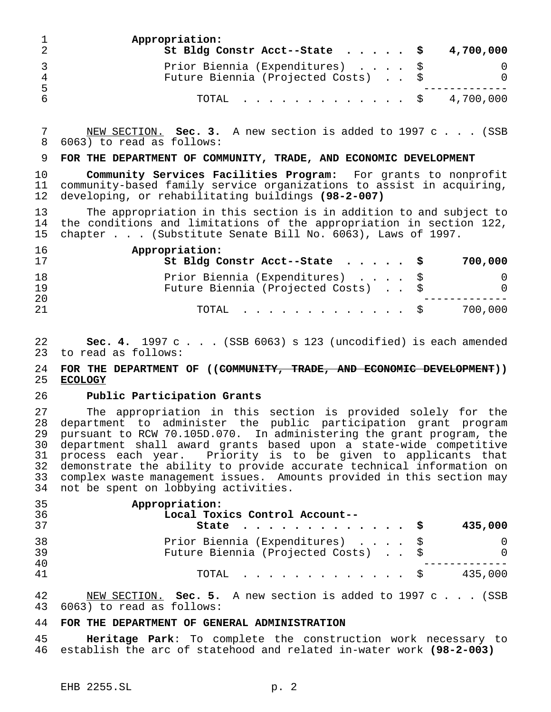|    | Appropriation:<br>St Bldg Constr Acct--State $\cdot \cdot \cdot \cdot$ \$ 4,700,000 |          |
|----|-------------------------------------------------------------------------------------|----------|
| 4  | Prior Biennia (Expenditures) \$<br>Future Biennia (Projected Costs) \$              | $\Omega$ |
| -5 | TOTAL \$ 4,700,000                                                                  |          |

 NEW SECTION. **Sec. 3.** A new section is added to 1997 c . . . (SSB 6063) to read as follows:

## **FOR THE DEPARTMENT OF COMMUNITY, TRADE, AND ECONOMIC DEVELOPMENT**

 **Community Services Facilities Program:** For grants to nonprofit community-based family service organizations to assist in acquiring, developing, or rehabilitating buildings **(98-2-007)**

 The appropriation in this section is in addition to and subject to 14 the conditions and limitations of the appropriation in section 122,<br>15 chapter . . . (Substitute Senate Bill No. 6063), Laws of 1997. chapter... (Substitute Senate Bill No. 6063), Laws of 1997.

| 16<br>17 | Appropriation:<br>St Bldg Constr Acct--State $\cdot \cdot \cdot \cdot$ \$<br>700,000 |
|----------|--------------------------------------------------------------------------------------|
| 18<br>19 | Prior Biennia (Expenditures) \$<br>Future Biennia (Projected Costs) \$<br>$\Omega$   |
| 20<br>21 | 700,000<br>$\text{TOTAL}$ $\S$                                                       |

**Sec. 4.** 1997 c . . . (SSB 6063) s 123 (uncodified) is each amended 23 to read as follows: to read as follows:

# 24 **FOR THE DEPARTMENT OF ((<del>COMMUNITY, TRADE, AND ECONOMIC DEVELOPMENT</del>))<br>25 ECOLOGY ECOLOGY**

## **Public Participation Grants**

 The appropriation in this section is provided solely for the department to administer the public participation grant program pursuant to RCW 70.105D.070. In administering the grant program, the department shall award grants based upon a state-wide competitive process each year. Priority is to be given to applicants that demonstrate the ability to provide accurate technical information on complex waste management issues. Amounts provided in this section may not be spent on lobbying activities.

| 35<br>36       | Appropriation:<br>Local Toxics Control Account--                       |                      |
|----------------|------------------------------------------------------------------------|----------------------|
| 37             | State $\ldots$ $\Im$                                                   | 435,000              |
| 38<br>39<br>40 | Prior Biennia (Expenditures) \$<br>Future Biennia (Projected Costs) \$ | $\Omega$<br>$\Omega$ |
| 41             | TOTAL S                                                                | 435,000              |

 NEW SECTION. **Sec. 5.** A new section is added to 1997 c . . . (SSB 6063) to read as follows:

# **FOR THE DEPARTMENT OF GENERAL ADMINISTRATION**

 **Heritage Park**: To complete the construction work necessary to establish the arc of statehood and related in-water work **(98-2-003)**